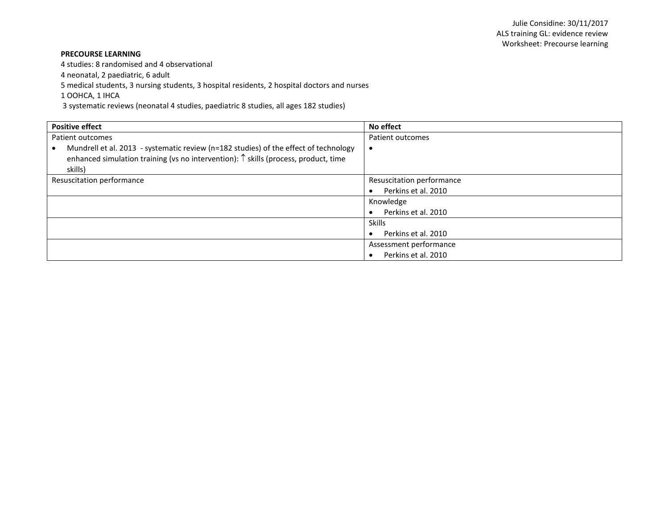## **PRECOURSE LEARNING**

4 studies: 8 randomised and 4 observational

4 neonatal, 2 paediatric, 6 adult

5 medical students, 3 nursing students, 3 hospital residents, 2 hospital doctors and nurses

1 OOHCA, 1 IHCA

3 systematic reviews (neonatal 4 studies, paediatric 8 studies, all ages 182 studies)

| <b>Positive effect</b>                                                                       | No effect                 |
|----------------------------------------------------------------------------------------------|---------------------------|
| Patient outcomes                                                                             | Patient outcomes          |
| Mundrell et al. 2013 - systematic review (n=182 studies) of the effect of technology         |                           |
| enhanced simulation training (vs no intervention): $\uparrow$ skills (process, product, time |                           |
| skills)                                                                                      |                           |
| Resuscitation performance                                                                    | Resuscitation performance |
|                                                                                              | Perkins et al. 2010       |
|                                                                                              | Knowledge                 |
|                                                                                              | Perkins et al. 2010       |
|                                                                                              | <b>Skills</b>             |
|                                                                                              | Perkins et al. 2010       |
|                                                                                              | Assessment performance    |
|                                                                                              | Perkins et al. 2010       |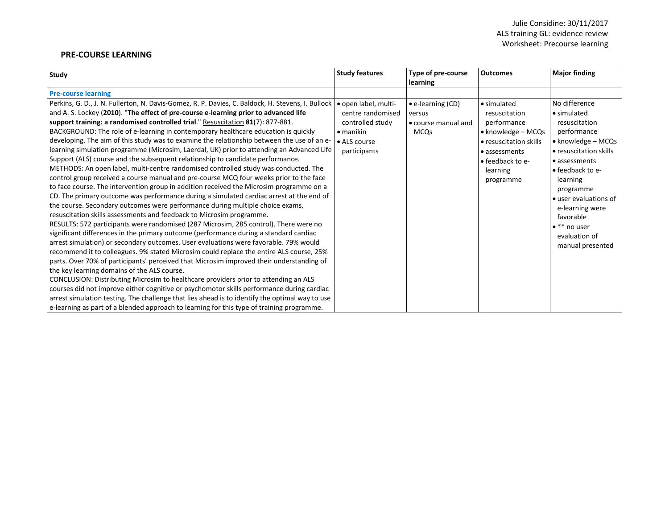## **PRE-COURSE LEARNING**

| Study                                                                                                                                                                                                                                                                                                                                                                                                                                                                                                                                                                                                                                                                                                                                                                                                                                                                                                                                                                                                                                                                                                                                                                                                                                                                                                                                                                                                                                                                                                                                                                                                                                                                                                                                                                                                                                                                                                                                                                                                                                                                             | <b>Study features</b>                                                                                              | Type of pre-course<br>learning                                            | <b>Outcomes</b>                                                                                                                                                           | <b>Major finding</b>                                                                                                                                                                                                                                                                                             |
|-----------------------------------------------------------------------------------------------------------------------------------------------------------------------------------------------------------------------------------------------------------------------------------------------------------------------------------------------------------------------------------------------------------------------------------------------------------------------------------------------------------------------------------------------------------------------------------------------------------------------------------------------------------------------------------------------------------------------------------------------------------------------------------------------------------------------------------------------------------------------------------------------------------------------------------------------------------------------------------------------------------------------------------------------------------------------------------------------------------------------------------------------------------------------------------------------------------------------------------------------------------------------------------------------------------------------------------------------------------------------------------------------------------------------------------------------------------------------------------------------------------------------------------------------------------------------------------------------------------------------------------------------------------------------------------------------------------------------------------------------------------------------------------------------------------------------------------------------------------------------------------------------------------------------------------------------------------------------------------------------------------------------------------------------------------------------------------|--------------------------------------------------------------------------------------------------------------------|---------------------------------------------------------------------------|---------------------------------------------------------------------------------------------------------------------------------------------------------------------------|------------------------------------------------------------------------------------------------------------------------------------------------------------------------------------------------------------------------------------------------------------------------------------------------------------------|
| <b>Pre-course learning</b>                                                                                                                                                                                                                                                                                                                                                                                                                                                                                                                                                                                                                                                                                                                                                                                                                                                                                                                                                                                                                                                                                                                                                                                                                                                                                                                                                                                                                                                                                                                                                                                                                                                                                                                                                                                                                                                                                                                                                                                                                                                        |                                                                                                                    |                                                                           |                                                                                                                                                                           |                                                                                                                                                                                                                                                                                                                  |
| Perkins, G. D., J. N. Fullerton, N. Davis-Gomez, R. P. Davies, C. Baldock, H. Stevens, I. Bullock<br>and A. S. Lockey (2010). "The effect of pre-course e-learning prior to advanced life<br>support training: a randomised controlled trial." Resuscitation 81(7): 877-881.<br>BACKGROUND: The role of e-learning in contemporary healthcare education is quickly<br>developing. The aim of this study was to examine the relationship between the use of an e-<br>learning simulation programme (Microsim, Laerdal, UK) prior to attending an Advanced Life<br>Support (ALS) course and the subsequent relationship to candidate performance.<br>METHODS: An open label, multi-centre randomised controlled study was conducted. The<br>control group received a course manual and pre-course MCQ four weeks prior to the face<br>to face course. The intervention group in addition received the Microsim programme on a<br>CD. The primary outcome was performance during a simulated cardiac arrest at the end of<br>the course. Secondary outcomes were performance during multiple choice exams,<br>resuscitation skills assessments and feedback to Microsim programme.<br>RESULTS: 572 participants were randomised (287 Microsim, 285 control). There were no<br>significant differences in the primary outcome (performance during a standard cardiac<br>arrest simulation) or secondary outcomes. User evaluations were favorable. 79% would<br>recommend it to colleagues. 9% stated Microsim could replace the entire ALS course, 25%<br>parts. Over 70% of participants' perceived that Microsim improved their understanding of<br>the key learning domains of the ALS course.<br>CONCLUSION: Distributing Microsim to healthcare providers prior to attending an ALS<br>courses did not improve either cognitive or psychomotor skills performance during cardiac<br>arrest simulation testing. The challenge that lies ahead is to identify the optimal way to use<br>e-learning as part of a blended approach to learning for this type of training programme. | • open label, multi-<br>centre randomised<br>controlled study<br>$\bullet$ manikin<br>• ALS course<br>participants | $\bullet$ e-learning (CD)<br>versus<br>• course manual and<br><b>MCOs</b> | • simulated<br>resuscitation<br>performance<br>$\bullet$ knowledge – MCQs<br>• resuscitation skills<br>• assessments<br>$\bullet$ feedback to e-<br>learning<br>programme | No difference<br>$\bullet$ simulated<br>resuscitation<br>performance<br>• knowledge - MCQs<br>• resuscitation skills<br>• assessments<br>$\bullet$ feedback to e-<br>learning<br>programme<br>• user evaluations of<br>e-learning were<br>favorable<br>$\bullet$ ** no user<br>evaluation of<br>manual presented |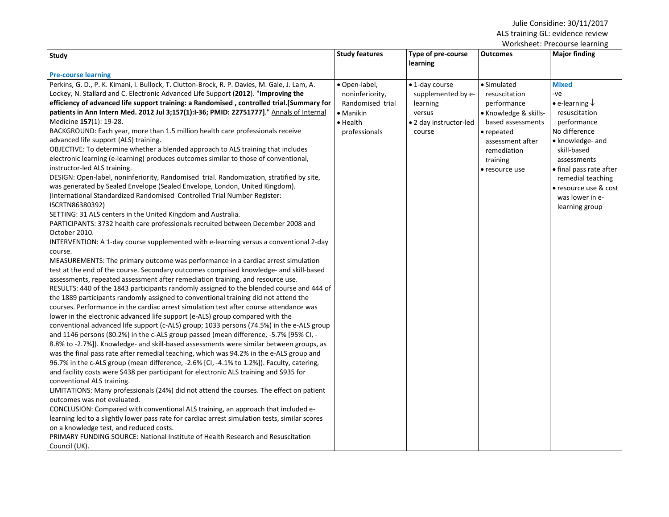## Julie Considine: 30/11/2017 ALS training GL: evidence review

| <b>Pre-course learning</b><br>Perkins, G. D., P. K. Kimani, I. Bullock, T. Clutton-Brock, R. P. Davies, M. Gale, J. Lam, A.<br>· Open-label,<br>Lockey, N. Stallard and C. Electronic Advanced Life Support (2012). "Improving the<br>noninferiority,<br>efficiency of advanced life support training: a Randomised, controlled trial.[Summary for<br>Randomised trial<br>patients in Ann Intern Med. 2012 Jul 3;157(1):I-36; PMID: 22751777]." Annals of Internal<br>• Manikin<br>Medicine 157(1): 19-28.<br>$\bullet$ Health<br>BACKGROUND: Each year, more than 1.5 million health care professionals receive<br>professionals<br>advanced life support (ALS) training.<br>OBJECTIVE: To determine whether a blended approach to ALS training that includes                                                                                                                                                                                                                                                                                                                                                                                                                                                                                                                                                                                                                                                                                                                                                                                                                                                                                                                                                                                                                                                                                                                                                                                                                                                                                                                                                                                                                                                                                                                                                                                         | • 1-day course<br>supplemented by e-<br>learning<br>versus<br>• 2 day instructor-led<br>course | • Simulated<br>resuscitation<br>performance<br>• Knowledge & skills-                             | <b>Mixed</b><br>-ve<br>• e-learning $\downarrow$                                                                                                                                                              |
|--------------------------------------------------------------------------------------------------------------------------------------------------------------------------------------------------------------------------------------------------------------------------------------------------------------------------------------------------------------------------------------------------------------------------------------------------------------------------------------------------------------------------------------------------------------------------------------------------------------------------------------------------------------------------------------------------------------------------------------------------------------------------------------------------------------------------------------------------------------------------------------------------------------------------------------------------------------------------------------------------------------------------------------------------------------------------------------------------------------------------------------------------------------------------------------------------------------------------------------------------------------------------------------------------------------------------------------------------------------------------------------------------------------------------------------------------------------------------------------------------------------------------------------------------------------------------------------------------------------------------------------------------------------------------------------------------------------------------------------------------------------------------------------------------------------------------------------------------------------------------------------------------------------------------------------------------------------------------------------------------------------------------------------------------------------------------------------------------------------------------------------------------------------------------------------------------------------------------------------------------------------------------------------------------------------------------------------------------------|------------------------------------------------------------------------------------------------|--------------------------------------------------------------------------------------------------|---------------------------------------------------------------------------------------------------------------------------------------------------------------------------------------------------------------|
|                                                                                                                                                                                                                                                                                                                                                                                                                                                                                                                                                                                                                                                                                                                                                                                                                                                                                                                                                                                                                                                                                                                                                                                                                                                                                                                                                                                                                                                                                                                                                                                                                                                                                                                                                                                                                                                                                                                                                                                                                                                                                                                                                                                                                                                                                                                                                        |                                                                                                |                                                                                                  |                                                                                                                                                                                                               |
| electronic learning (e-learning) produces outcomes similar to those of conventional,<br>instructor-led ALS training.<br>DESIGN: Open-label, noninferiority, Randomised trial. Randomization, stratified by site,<br>was generated by Sealed Envelope (Sealed Envelope, London, United Kingdom).<br>(International Standardized Randomised Controlled Trial Number Register:<br>ISCRTN86380392)<br>SETTING: 31 ALS centers in the United Kingdom and Australia.<br>PARTICIPANTS: 3732 health care professionals recruited between December 2008 and<br>October 2010.<br>INTERVENTION: A 1-day course supplemented with e-learning versus a conventional 2-day<br>course.<br>MEASUREMENTS: The primary outcome was performance in a cardiac arrest simulation<br>test at the end of the course. Secondary outcomes comprised knowledge- and skill-based<br>assessments, repeated assessment after remediation training, and resource use.<br>RESULTS: 440 of the 1843 participants randomly assigned to the blended course and 444 of<br>the 1889 participants randomly assigned to conventional training did not attend the<br>courses. Performance in the cardiac arrest simulation test after course attendance was<br>lower in the electronic advanced life support (e-ALS) group compared with the<br>conventional advanced life support (c-ALS) group; 1033 persons (74.5%) in the e-ALS group<br>and 1146 persons (80.2%) in the c-ALS group passed (mean difference, -5.7% [95% CI, -<br>8.8% to -2.7%]). Knowledge- and skill-based assessments were similar between groups, as<br>was the final pass rate after remedial teaching, which was 94.2% in the e-ALS group and<br>96.7% in the c-ALS group (mean difference, -2.6% [CI, -4.1% to 1.2%]). Faculty, catering,<br>and facility costs were \$438 per participant for electronic ALS training and \$935 for<br>conventional ALS training.<br>LIMITATIONS: Many professionals (24%) did not attend the courses. The effect on patient<br>outcomes was not evaluated.<br>CONCLUSION: Compared with conventional ALS training, an approach that included e-<br>learning led to a slightly lower pass rate for cardiac arrest simulation tests, similar scores<br>on a knowledge test, and reduced costs.<br>PRIMARY FUNDING SOURCE: National Institute of Health Research and Resuscitation |                                                                                                | based assessments<br>• repeated<br>assessment after<br>remediation<br>training<br>• resource use | resuscitation<br>performance<br>No difference<br>• knowledge- and<br>skill-based<br>assessments<br>• final pass rate after<br>remedial teaching<br>• resource use & cost<br>was lower in e-<br>learning group |